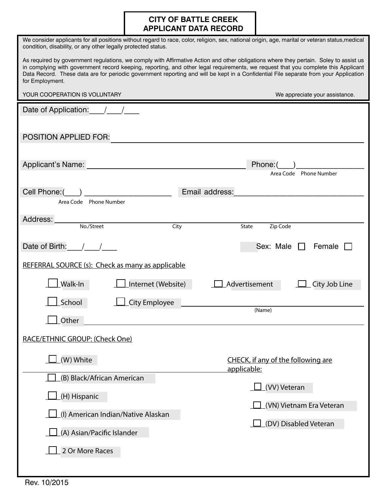### **CITY OF BATTLE CREEK APPLICANT DATA RECORD**

| condition, disability, or any other legally protected status.                                                                                                                                                                                                                                                                                                                                                                         | We consider applicants for all positions without regard to race, color, religion, sex, national origin, age, marital or veteran status,medical |  |  |
|---------------------------------------------------------------------------------------------------------------------------------------------------------------------------------------------------------------------------------------------------------------------------------------------------------------------------------------------------------------------------------------------------------------------------------------|------------------------------------------------------------------------------------------------------------------------------------------------|--|--|
| As required by government regulations, we comply with Affirmative Action and other obligations where they pertain. Soley to assist us<br>in complying with government record keeping, reporting, and other legal requirements, we request that you complete this Applicant<br>Data Record. These data are for periodic government reporting and will be kept in a Confidential File separate from your Application<br>for Employment. |                                                                                                                                                |  |  |
| YOUR COOPERATION IS VOLUNTARY                                                                                                                                                                                                                                                                                                                                                                                                         | We appreciate your assistance.                                                                                                                 |  |  |
| Date of Application:                                                                                                                                                                                                                                                                                                                                                                                                                  |                                                                                                                                                |  |  |
| <b>POSITION APPLIED FOR:</b>                                                                                                                                                                                                                                                                                                                                                                                                          |                                                                                                                                                |  |  |
| Applicant's Name:                                                                                                                                                                                                                                                                                                                                                                                                                     | Phone:<br>Area Code Phone Number                                                                                                               |  |  |
| Cell Phone: (                                                                                                                                                                                                                                                                                                                                                                                                                         | Email address:                                                                                                                                 |  |  |
| Area Code Phone Number                                                                                                                                                                                                                                                                                                                                                                                                                |                                                                                                                                                |  |  |
| Address:<br>No./Street<br>City                                                                                                                                                                                                                                                                                                                                                                                                        | State<br>Zip Code                                                                                                                              |  |  |
| Date of Birth:                                                                                                                                                                                                                                                                                                                                                                                                                        | Sex: Male<br>Female                                                                                                                            |  |  |
| REFERRAL SOURCE (s): Check as many as applicable                                                                                                                                                                                                                                                                                                                                                                                      |                                                                                                                                                |  |  |
| Walk-In<br>Internet (Website)                                                                                                                                                                                                                                                                                                                                                                                                         | Advertisement<br>City Job Line                                                                                                                 |  |  |
| School<br><b>City Employee</b>                                                                                                                                                                                                                                                                                                                                                                                                        |                                                                                                                                                |  |  |
| Other                                                                                                                                                                                                                                                                                                                                                                                                                                 | (Name)                                                                                                                                         |  |  |
| RACE/ETHNIC GROUP: (Check One)                                                                                                                                                                                                                                                                                                                                                                                                        |                                                                                                                                                |  |  |
| (W) White                                                                                                                                                                                                                                                                                                                                                                                                                             | CHECK, if any of the following are<br>applicable:                                                                                              |  |  |
| (B) Black/African American                                                                                                                                                                                                                                                                                                                                                                                                            | (VV) Veteran                                                                                                                                   |  |  |
| (H) Hispanic                                                                                                                                                                                                                                                                                                                                                                                                                          |                                                                                                                                                |  |  |
| (I) American Indian/Native Alaskan                                                                                                                                                                                                                                                                                                                                                                                                    | (VN) Vietnam Era Veteran                                                                                                                       |  |  |
| (A) Asian/Pacific Islander                                                                                                                                                                                                                                                                                                                                                                                                            | (DV) Disabled Veteran                                                                                                                          |  |  |
| 2 Or More Races                                                                                                                                                                                                                                                                                                                                                                                                                       |                                                                                                                                                |  |  |
|                                                                                                                                                                                                                                                                                                                                                                                                                                       |                                                                                                                                                |  |  |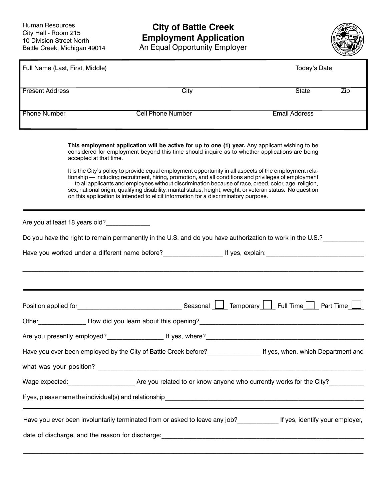## **City of Battle Creek Employment Application**

An Equal Opportunity Employer



| Full Name (Last, First, Middle) |                                                                                                                                                                                                                                                                                                                                                                                                                                                                                                                                                                                                                                                                                                                                                              | Today's Date         |     |
|---------------------------------|--------------------------------------------------------------------------------------------------------------------------------------------------------------------------------------------------------------------------------------------------------------------------------------------------------------------------------------------------------------------------------------------------------------------------------------------------------------------------------------------------------------------------------------------------------------------------------------------------------------------------------------------------------------------------------------------------------------------------------------------------------------|----------------------|-----|
| <b>Present Address</b>          | City                                                                                                                                                                                                                                                                                                                                                                                                                                                                                                                                                                                                                                                                                                                                                         | State                | Zip |
| <b>Phone Number</b>             | <b>Cell Phone Number</b>                                                                                                                                                                                                                                                                                                                                                                                                                                                                                                                                                                                                                                                                                                                                     | <b>Email Address</b> |     |
|                                 | This employment application will be active for up to one (1) year. Any applicant wishing to be<br>considered for employment beyond this time should inquire as to whether applications are being<br>accepted at that time.<br>It is the City's policy to provide equal employment opportunity in all aspects of the employment rela-<br>tionship — including recruitment, hiring, promotion, and all conditions and privileges of employment<br>- to all applicants and employees without discrimination because of race, creed, color, age, religion,<br>sex, national origin, qualifying disability, marital status, height, weight, or veteran status. No question<br>on this application is intended to elicit information for a discriminatory purpose. |                      |     |
|                                 | Are you at least 18 years old?_______________<br>Do you have the right to remain permanently in the U.S. and do you have authorization to work in the U.S.?<br>Have you worked under a different name before?______________________ If yes, explain:_______________________________                                                                                                                                                                                                                                                                                                                                                                                                                                                                          |                      |     |
|                                 |                                                                                                                                                                                                                                                                                                                                                                                                                                                                                                                                                                                                                                                                                                                                                              |                      |     |
|                                 |                                                                                                                                                                                                                                                                                                                                                                                                                                                                                                                                                                                                                                                                                                                                                              |                      |     |
|                                 |                                                                                                                                                                                                                                                                                                                                                                                                                                                                                                                                                                                                                                                                                                                                                              |                      |     |
|                                 |                                                                                                                                                                                                                                                                                                                                                                                                                                                                                                                                                                                                                                                                                                                                                              |                      |     |
|                                 | Wage expected: __________________________Are you related to or know anyone who currently works for the City? ____________                                                                                                                                                                                                                                                                                                                                                                                                                                                                                                                                                                                                                                    |                      |     |
|                                 |                                                                                                                                                                                                                                                                                                                                                                                                                                                                                                                                                                                                                                                                                                                                                              |                      |     |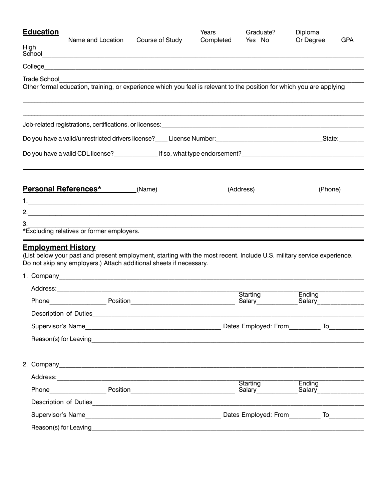| <b>Education</b>                                                                                                                                                                                                          | Name and Location |                                                                                                                        | Years     | Graduate?<br>Yes No                     | Diploma               | <b>GPA</b> |
|---------------------------------------------------------------------------------------------------------------------------------------------------------------------------------------------------------------------------|-------------------|------------------------------------------------------------------------------------------------------------------------|-----------|-----------------------------------------|-----------------------|------------|
| High<br>School                                                                                                                                                                                                            |                   | Course of Study                                                                                                        | Completed |                                         | Or Degree             |            |
| College                                                                                                                                                                                                                   |                   | <u> 1980 - Johann Barbara, martxa alemaniar argumento estas estas estas estas estas estas estas estas estas estas </u> |           |                                         |                       |            |
| <b>Trade School</b><br>Other formal education, training, or experience which you feel is relevant to the position for which you are applying                                                                              |                   |                                                                                                                        |           |                                         |                       |            |
|                                                                                                                                                                                                                           |                   |                                                                                                                        |           |                                         |                       |            |
| Do you have a valid/unrestricted drivers license?____ License Number:__________________________________State:_______                                                                                                      |                   |                                                                                                                        |           |                                         |                       |            |
| Do you have a valid CDL license?____________________If so, what type endorsement?___________________________________                                                                                                      |                   |                                                                                                                        |           |                                         |                       |            |
| Personal References* (Name)                                                                                                                                                                                               |                   |                                                                                                                        |           | (Address)                               | (Phone)               |            |
|                                                                                                                                                                                                                           |                   |                                                                                                                        |           |                                         |                       |            |
| З.<br>*Excluding relatives or former employers.                                                                                                                                                                           |                   |                                                                                                                        |           |                                         |                       |            |
| <b>Employment History</b><br>(List below your past and present employment, starting with the most recent. Include U.S. military service experience.<br>Do not skip any employers.) Attach additional sheets if necessary. |                   |                                                                                                                        |           |                                         |                       |            |
|                                                                                                                                                                                                                           |                   |                                                                                                                        |           | Starting                                | Ending                |            |
|                                                                                                                                                                                                                           |                   |                                                                                                                        |           |                                         |                       |            |
|                                                                                                                                                                                                                           |                   |                                                                                                                        |           |                                         |                       |            |
|                                                                                                                                                                                                                           |                   |                                                                                                                        |           |                                         |                       |            |
|                                                                                                                                                                                                                           |                   |                                                                                                                        |           |                                         |                       |            |
|                                                                                                                                                                                                                           |                   |                                                                                                                        |           |                                         |                       |            |
|                                                                                                                                                                                                                           |                   |                                                                                                                        |           | Starting                                | Ending                |            |
|                                                                                                                                                                                                                           |                   |                                                                                                                        |           | Salary <sup><i>______________</i></sup> | _Salary______________ |            |
|                                                                                                                                                                                                                           |                   |                                                                                                                        |           |                                         |                       |            |
|                                                                                                                                                                                                                           |                   |                                                                                                                        |           |                                         |                       |            |
|                                                                                                                                                                                                                           |                   |                                                                                                                        |           |                                         |                       |            |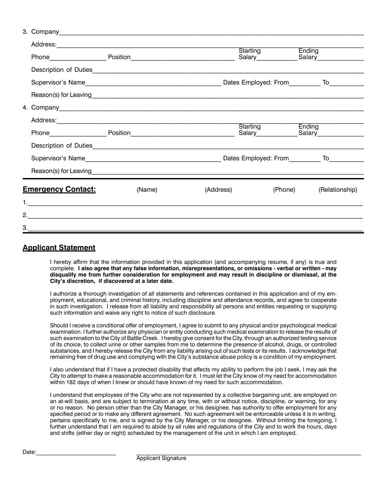|    |                           |        |           | Starting Ending                              |                |
|----|---------------------------|--------|-----------|----------------------------------------------|----------------|
|    |                           |        |           |                                              |                |
|    |                           |        |           | Dates Employed: From___________ To__________ |                |
|    |                           |        |           |                                              |                |
|    |                           |        |           |                                              |                |
|    |                           |        |           |                                              |                |
|    |                           |        |           | Starting Ending                              |                |
|    |                           |        |           |                                              |                |
|    |                           |        |           |                                              |                |
|    |                           |        |           |                                              |                |
|    | <b>Emergency Contact:</b> | (Name) | (Address) | (Phone)                                      | (Relationship) |
|    |                           |        |           |                                              |                |
|    |                           |        |           |                                              |                |
| 3. |                           |        |           |                                              |                |

#### **Applicant Statement**

I hereby affirm that the information provided in this application (and accompanying resume, if any) is true and complete. **I also agree that any false information, misrepresentations, or omissions - verbal or written - may disqualify me from further consideration for employment and may result in discipline or dismissal, at the City's discretion, if discovered at a later date.**

I authorize a thorough investigation of all statements and references contained in this application and of my employment, educational, and criminal history, including discipline and attendance records, and agree to cooperate in such investigation. I release from all liability and responsibility all persons and entities requesting or supplying such information and waive any right to notice of such disclosure.

Should I receive a conditional offer of employment, I agree to submit to any physical and/or psychological medical examination. I further authorize any physician or entity conducting such medical examination to release the results of such examination to the City of Battle Creek. I hereby give consent for the City, through an authorized testing service of its choice, to collect urine or other samples from me to determine the presence of alcohol, drugs, or controlled substances, and I hereby release the City from any liability arising out of such tests or its results. I acknowledge that remaining free of drug use and complying with the City's substance abuse policy is a condition of my employment.

I also understand that if I have a protected disability that affects my ability to perform the job I seek, I may ask the City to attempt to make a reasonable accommodation for it. I must let the City know of my need for accommodation within 182 days of when I knew or should have known of my need for such accommodation.

I understand that employees of the City who are not represented by a collective bargaining unit, are employed on an at-will basis, and are subject to termination at any time, with or without notice, discipline, or warning, for any or no reason. No person other than the City Manager, or his designee, has authority to offer employment for any specified period or to make any different agreement. No such agreement will be enforceable unless it is in writing, pertains specifically to me, and is signed by the City Manager, or his designee. Without limiting the foregoing, I further understand that I am required to abide by all rules and regulations of the City and to work the hours, days and shifts (either day or night) scheduled by the management of the unit in which I am employed.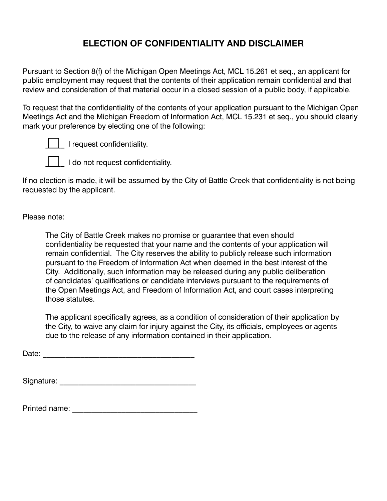## **ELECTION OF CONFIDENTIALITY AND DISCLAIMER**

Pursuant to Section 8(f) of the Michigan Open Meetings Act, MCL 15.261 et seq., an applicant for public employment may request that the contents of their application remain confidential and that review and consideration of that material occur in a closed session of a public body, if applicable.

To request that the confidentiality of the contents of your application pursuant to the Michigan Open Meetings Act and the Michigan Freedom of Information Act, MCL 15.231 et seq., you should clearly mark your preference by electing one of the following:



I request confidentiality.

I do not request confidentiality.

If no election is made, it will be assumed by the City of Battle Creek that confidentiality is not being requested by the applicant.

Please note:

The City of Battle Creek makes no promise or guarantee that even should confidentiality be requested that your name and the contents of your application will remain confidential. The City reserves the ability to publicly release such information pursuant to the Freedom of Information Act when deemed in the best interest of the City. Additionally, such information may be released during any public deliberation of candidates' qualifications or candidate interviews pursuant to the requirements of the Open Meetings Act, and Freedom of Information Act, and court cases interpreting those statutes.

The applicant specifically agrees, as a condition of consideration of their application by the City, to waive any claim for injury against the City, its officials, employees or agents due to the release of any information contained in their application.

Date: \_\_\_\_\_\_\_\_\_\_\_\_\_\_\_\_\_\_\_\_\_\_\_\_\_\_\_\_\_\_\_\_\_\_\_\_\_\_\_\_

| Signature: |  |
|------------|--|
|------------|--|

| Printed name: |  |
|---------------|--|
|               |  |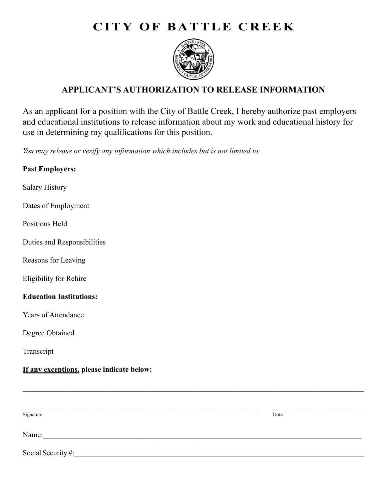# **CITY OF BATTLE CREEK**



## **APPLICANT'S AUTHORIZATION TO RELEASE INFORMATION**

As an applicant for a position with the City of Battle Creek, I hereby authorize past employers and educational institutions to release information about my work and educational history for use in determining my qualifications for this position.

*You may release or verify any information which includes but is not limited to:*

# **Past Employers:** Salary History Dates of Employment Positions Held Duties and Responsibilities Reasons for Leaving Eligibility for Rehire **Education Institutions:** Years of Attendance Degree Obtained Transcript **If any exceptions, please indicate below:** \_\_\_\_\_\_\_\_\_\_\_\_\_\_\_\_\_\_\_\_\_\_\_\_\_\_\_\_\_\_\_\_\_\_\_\_\_\_\_\_\_\_\_\_\_\_\_\_\_\_\_\_\_\_\_\_\_\_\_\_\_\_\_\_\_\_\_\_\_\_\_\_\_\_\_\_\_\_\_\_\_\_\_\_\_\_\_\_\_\_ \_\_\_\_\_\_\_\_\_\_\_\_\_\_\_\_\_\_\_\_\_\_\_\_\_\_\_\_\_\_\_\_\_\_\_\_\_\_\_\_\_\_\_\_\_\_\_\_\_\_\_\_\_\_\_\_\_\_\_\_\_\_ \_\_\_\_\_\_\_\_\_\_\_\_\_\_\_\_\_\_\_\_\_\_\_\_

Signature Date **Date** Development of the *Date* Date of the *Date* Date of the *Date* Date of the *Date* Date of the *Date* of the *Date* of the *Date* of the *Date* of the *Date* of the *Date* of the *Date* of the *Date*

Name:\_\_\_\_\_\_\_\_\_\_\_\_\_\_\_\_\_\_\_\_\_\_\_\_\_\_\_\_\_\_\_\_\_\_\_\_\_\_\_\_\_\_\_\_\_\_\_\_\_\_\_\_\_\_\_\_\_\_\_\_\_\_\_\_\_\_\_\_\_\_\_\_\_\_\_\_\_\_\_\_\_\_\_\_

Social Security #: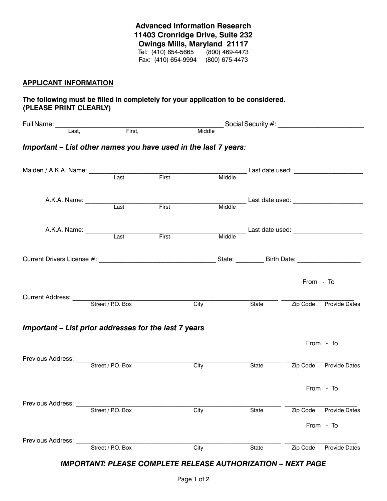**Advanced Information Research 11403 Cronridge Drive, Suite 232 Owings Mills, Maryland 21117** Tel: (410) 654-5665 (800) 469-4473 Fax: (410) 654-9994 (800) 675-4473

#### **APPLICANT INFORMATION**

#### **The following must be filled in completely for your application to be considered. (PLEASE PRINT CLEARLY)**

|                                                                                |                   |       |             |                                                         |           | Social Security #: ___________________________ |
|--------------------------------------------------------------------------------|-------------------|-------|-------------|---------------------------------------------------------|-----------|------------------------------------------------|
| Full Name: Last, First,                                                        |                   |       | Middle      |                                                         |           |                                                |
| Important - List other names you have used in the last 7 years:                |                   |       |             |                                                         |           |                                                |
| Maiden / A.K.A. Name: Last First                                               |                   |       |             |                                                         |           |                                                |
|                                                                                |                   | First |             |                                                         |           |                                                |
|                                                                                |                   |       |             |                                                         |           |                                                |
|                                                                                | $\overline{Last}$ | First | Middle      | Last date used:<br>Middle                               |           |                                                |
| Current Drivers License #: example and the set of the State State: Birth Date: |                   |       |             |                                                         |           |                                                |
|                                                                                |                   |       |             |                                                         | From - To |                                                |
|                                                                                |                   |       | <b>City</b> |                                                         |           | State <b>Zip Code</b> Provide Dates            |
| Important - List prior addresses for the last 7 years                          |                   |       |             |                                                         |           |                                                |
|                                                                                |                   |       |             |                                                         |           | From - To                                      |
|                                                                                |                   |       | City        | $\overline{\phantom{1}}$ State $\overline{\phantom{1}}$ |           | Zip Code Provide Dates                         |
|                                                                                |                   |       |             |                                                         |           | From - To                                      |
| Previous Address:                                                              | Street / P.O. Box | City  |             | State                                                   | Zip Code  | <b>Provide Dates</b>                           |
|                                                                                |                   |       |             |                                                         |           | From - To                                      |
| Previous Address:                                                              | Street / P.O. Box | City  |             | State                                                   | Zip Code  | <b>Provide Dates</b>                           |

#### *IMPORTANT: PLEASE COMPLETE RELEASE AUTHORIZATION – NEXT PAGE*